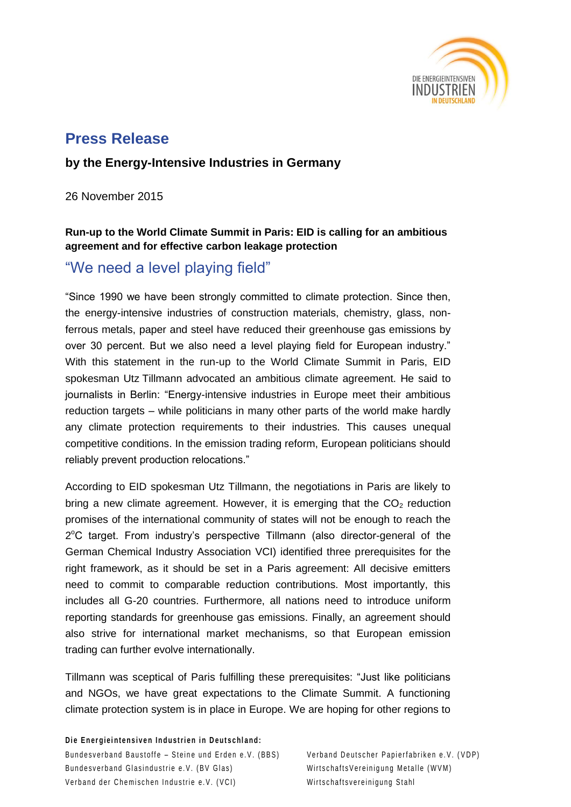

# **Press Release**

## **by the Energy-Intensive Industries in Germany**

26 November 2015

### **Run-up to the World Climate Summit in Paris: EID is calling for an ambitious agreement and for effective carbon leakage protection**

# "We need a level playing field"

"Since 1990 we have been strongly committed to climate protection. Since then, the energy-intensive industries of construction materials, chemistry, glass, nonferrous metals, paper and steel have reduced their greenhouse gas emissions by over 30 percent. But we also need a level playing field for European industry." With this statement in the run-up to the World Climate Summit in Paris, EID spokesman Utz Tillmann advocated an ambitious climate agreement. He said to journalists in Berlin: "Energy-intensive industries in Europe meet their ambitious reduction targets – while politicians in many other parts of the world make hardly any climate protection requirements to their industries. This causes unequal competitive conditions. In the emission trading reform, European politicians should reliably prevent production relocations."

According to EID spokesman Utz Tillmann, the negotiations in Paris are likely to bring a new climate agreement. However, it is emerging that the  $CO<sub>2</sub>$  reduction promises of the international community of states will not be enough to reach the 2°C target. From industry's perspective Tillmann (also director-general of the German Chemical Industry Association VCI) identified three prerequisites for the right framework, as it should be set in a Paris agreement: All decisive emitters need to commit to comparable reduction contributions. Most importantly, this includes all G-20 countries. Furthermore, all nations need to introduce uniform reporting standards for greenhouse gas emissions. Finally, an agreement should also strive for international market mechanisms, so that European emission trading can further evolve internationally.

Tillmann was sceptical of Paris fulfilling these prerequisites: "Just like politicians and NGOs, we have great expectations to the Climate Summit. A functioning climate protection system is in place in Europe. We are hoping for other regions to

**Die Energieintensiven Industrien in Deutschland:** Bundesverband Baustoffe – Steine und Erden e.V. (BBS) Verband Deutscher Papierfabriken e.V. (VDP) Bundesverband Glasindustrie e.V. (BV Glas) WirtschaftsVereinigung Metalle (WVM) Verband der Chemischen Industrie e.V. (VCI) verband Wirtschaftsvereinigung Stahl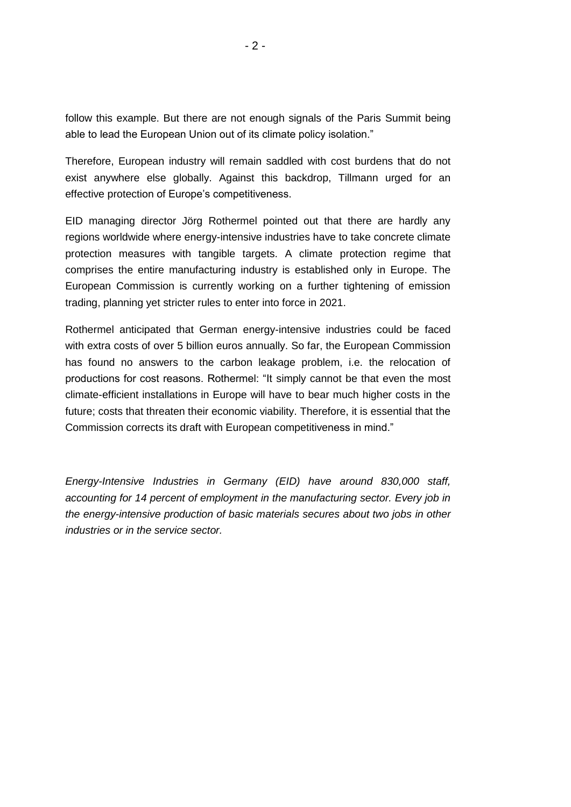follow this example. But there are not enough signals of the Paris Summit being able to lead the European Union out of its climate policy isolation."

Therefore, European industry will remain saddled with cost burdens that do not exist anywhere else globally. Against this backdrop, Tillmann urged for an effective protection of Europe's competitiveness.

EID managing director Jörg Rothermel pointed out that there are hardly any regions worldwide where energy-intensive industries have to take concrete climate protection measures with tangible targets. A climate protection regime that comprises the entire manufacturing industry is established only in Europe. The European Commission is currently working on a further tightening of emission trading, planning yet stricter rules to enter into force in 2021.

Rothermel anticipated that German energy-intensive industries could be faced with extra costs of over 5 billion euros annually. So far, the European Commission has found no answers to the carbon leakage problem, i.e. the relocation of productions for cost reasons. Rothermel: "It simply cannot be that even the most climate-efficient installations in Europe will have to bear much higher costs in the future; costs that threaten their economic viability. Therefore, it is essential that the Commission corrects its draft with European competitiveness in mind."

*Energy-Intensive Industries in Germany (EID) have around 830,000 staff, accounting for 14 percent of employment in the manufacturing sector. Every job in the energy-intensive production of basic materials secures about two jobs in other industries or in the service sector.*